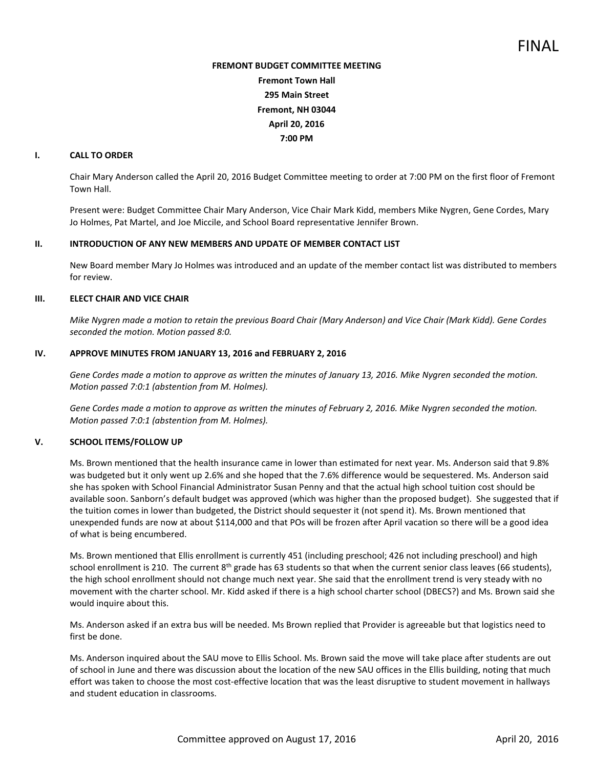# **FREMONT BUDGET COMMITTEE MEETING Fremont Town Hall 295 Main Street Fremont, NH 03044 April 20, 2016 7:00 PM**

#### **I. CALL TO ORDER**

Chair Mary Anderson called the April 20, 2016 Budget Committee meeting to order at 7:00 PM on the first floor of Fremont Town Hall.

Present were: Budget Committee Chair Mary Anderson, Vice Chair Mark Kidd, members Mike Nygren, Gene Cordes, Mary Jo Holmes, Pat Martel, and Joe Miccile, and School Board representative Jennifer Brown.

#### **II. INTRODUCTION OF ANY NEW MEMBERS AND UPDATE OF MEMBER CONTACT LIST**

New Board member Mary Jo Holmes was introduced and an update of the member contact list was distributed to members for review.

## **III. ELECT CHAIR AND VICE CHAIR**

*Mike Nygren made a motion to retain the previous Board Chair (Mary Anderson) and Vice Chair (Mark Kidd). Gene Cordes seconded the motion. Motion passed 8:0.* 

## **IV. APPROVE MINUTES FROM JANUARY 13, 2016 and FEBRUARY 2, 2016**

*Gene Cordes made a motion to approve as written the minutes of January 13, 2016. Mike Nygren seconded the motion. Motion passed 7:0:1 (abstention from M. Holmes).* 

*Gene Cordes made a motion to approve as written the minutes of February 2, 2016. Mike Nygren seconded the motion. Motion passed 7:0:1 (abstention from M. Holmes).* 

# **V. SCHOOL ITEMS/FOLLOW UP**

Ms. Brown mentioned that the health insurance came in lower than estimated for next year. Ms. Anderson said that 9.8% was budgeted but it only went up 2.6% and she hoped that the 7.6% difference would be sequestered. Ms. Anderson said she has spoken with School Financial Administrator Susan Penny and that the actual high school tuition cost should be available soon. Sanborn's default budget was approved (which was higher than the proposed budget). She suggested that if the tuition comes in lower than budgeted, the District should sequester it (not spend it). Ms. Brown mentioned that unexpended funds are now at about \$114,000 and that POs will be frozen after April vacation so there will be a good idea of what is being encumbered.

Ms. Brown mentioned that Ellis enrollment is currently 451 (including preschool; 426 not including preschool) and high school enrollment is 210. The current  $8^{th}$  grade has 63 students so that when the current senior class leaves (66 students), the high school enrollment should not change much next year. She said that the enrollment trend is very steady with no movement with the charter school. Mr. Kidd asked if there is a high school charter school (DBECS?) and Ms. Brown said she would inquire about this.

Ms. Anderson asked if an extra bus will be needed. Ms Brown replied that Provider is agreeable but that logistics need to first be done.

Ms. Anderson inquired about the SAU move to Ellis School. Ms. Brown said the move will take place after students are out of school in June and there was discussion about the location of the new SAU offices in the Ellis building, noting that much effort was taken to choose the most cost-effective location that was the least disruptive to student movement in hallways and student education in classrooms.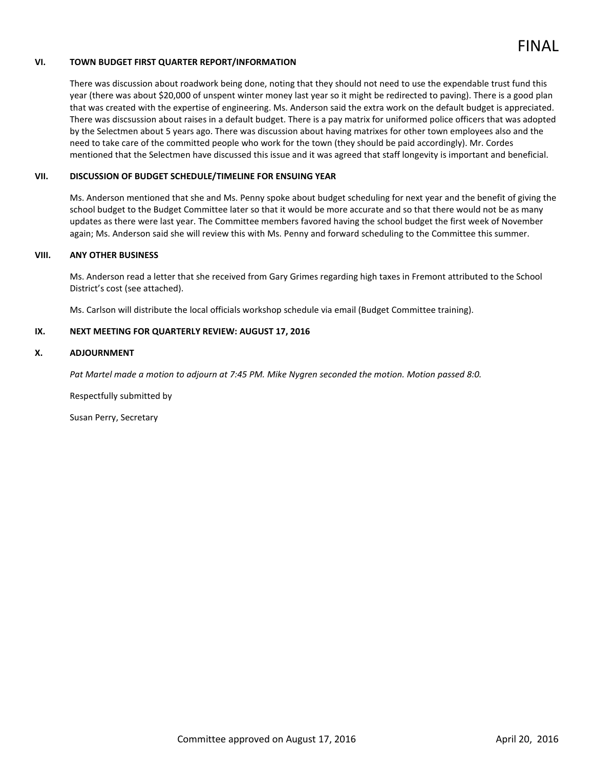

## **VI. TOWN BUDGET FIRST QUARTER REPORT/INFORMATION**

There was discussion about roadwork being done, noting that they should not need to use the expendable trust fund this year (there was about \$20,000 of unspent winter money last year so it might be redirected to paving). There is a good plan that was created with the expertise of engineering. Ms. Anderson said the extra work on the default budget is appreciated. There was discsussion about raises in a default budget. There is a pay matrix for uniformed police officers that was adopted by the Selectmen about 5 years ago. There was discussion about having matrixes for other town employees also and the need to take care of the committed people who work for the town (they should be paid accordingly). Mr. Cordes mentioned that the Selectmen have discussed this issue and it was agreed that staff longevity is important and beneficial.

#### **VII. DISCUSSION OF BUDGET SCHEDULE/TIMELINE FOR ENSUING YEAR**

Ms. Anderson mentioned that she and Ms. Penny spoke about budget scheduling for next year and the benefit of giving the school budget to the Budget Committee later so that it would be more accurate and so that there would not be as many updates as there were last year. The Committee members favored having the school budget the first week of November again; Ms. Anderson said she will review this with Ms. Penny and forward scheduling to the Committee this summer.

#### **VIII. ANY OTHER BUSINESS**

Ms. Anderson read a letter that she received from Gary Grimes regarding high taxes in Fremont attributed to the School District's cost (see attached).

Ms. Carlson will distribute the local officials workshop schedule via email (Budget Committee training).

## **IX. NEXT MEETING FOR QUARTERLY REVIEW: AUGUST 17, 2016**

#### **X. ADJOURNMENT**

*Pat Martel made a motion to adjourn at 7:45 PM. Mike Nygren seconded the motion. Motion passed 8:0.* 

Respectfully submitted by

Susan Perry, Secretary